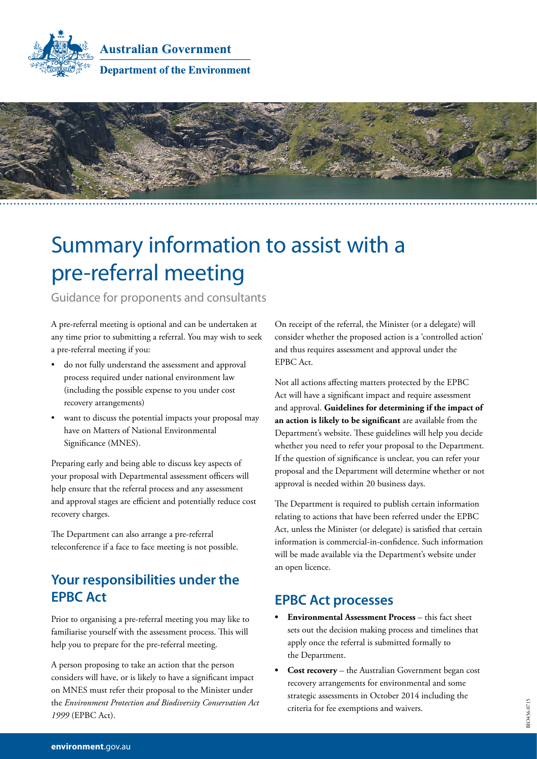

**Australian Government Department of the Environment** 



# Summary information to assist with a pre-referral meeting

Guidance for proponents and consultants

A pre-referral meeting is optional and can be undertaken at any time prior to submitting a referral. You may wish to seek a pre-referral meeting if you:

- do not fully understand the assessment and approval process required under national environment law (including the possible expense to you under cost recovery arrangements)
- want to discuss the potential impacts your proposal may have on Matters of National Environmental Significance (MNES).

Preparing early and being able to discuss key aspects of your proposal with Departmental assessment officers will help ensure that the referral process and any assessment and approval stages are efficient and potentially reduce cost recovery charges.

The Department can also arrange a pre-referral teleconference if a face to face meeting is not possible.

# **Your responsibilities under the EPBC Act**

Prior to organising a pre-referral meeting you may like to familiarise yourself with the assessment process. This will help you to prepare for the pre-referral meeting.

A person proposing to take an action that the person considers will have, or is likely to have a significant impact on MNES must refer their proposal to the Minister under the *Environment Protection and Biodiversity Conservation Act 1999* (EPBC Act).

On receipt of the referral, the Minister (or a delegate) will consider whether the proposed action is a 'controlled action' and thus requires assessment and approval under the EPBC Act.

Not all actions affecting matters protected by the EPBC Act will have a significant impact and require assessment and approval. **[Guidelines for determining if the impact of](http://www.environment.gov.au/epbc/policy-statements)  [an action is likely to be significant](http://www.environment.gov.au/epbc/policy-statements)** are available from the Department's website. These guidelines will help you decide whether you need to refer your proposal to the Department. If the question of significance is unclear, you can refer your proposal and the Department will determine whether or not approval is needed within 20 business days.

The Department is required to publish certain information relating to actions that have been referred under the EPBC Act, unless the Minister (or delegate) is satisfied that certain information is commercial-in-confidence. Such information will be made available via the Department's website under an open licence.

#### **EPBC Act processes**

- **[Environmental Assessment Process](http://www.environment.gov.au/system/files/resources/d60cdd6a-8122-473a-bbd0-d483662cef3e/files/assessment-process_1.pdf)** this fact sheet sets out the decision making process and timelines that apply once the referral is submitted formally to the Department.
- **[Cost recovery](http://www.environment.gov.au/epbc/cost-recovery)** the Australian Government began cost recovery arrangements for environmental and some strategic assessments in October 2014 including the criteria for fee exemptions and waivers.